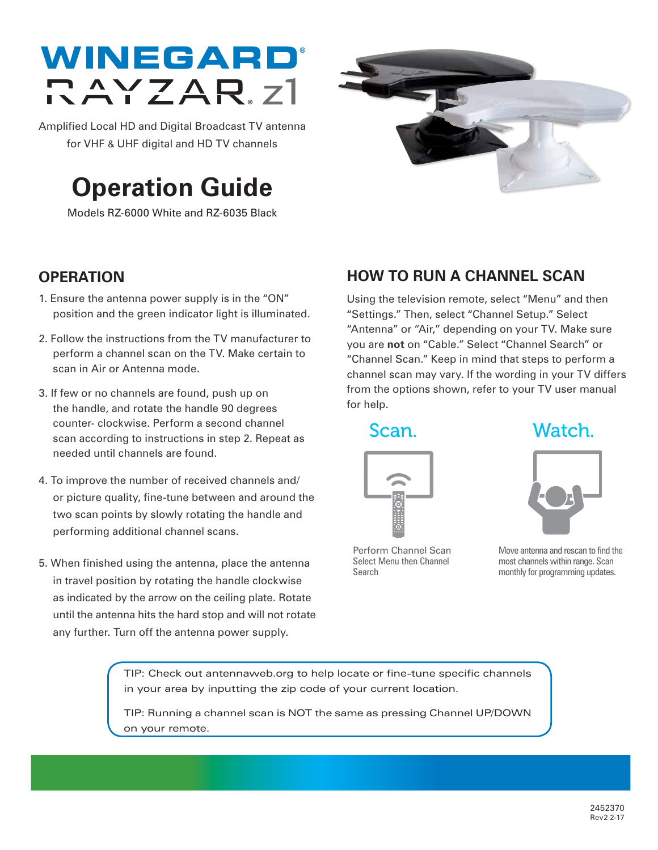# WINEGARD DAYZAR<sub>z</sub>1

Amplified Local HD and Digital Broadcast TV antenna for VHF & UHF digital and HD TV channels

## **Operation Guide**

Models RZ-6000 White and RZ-6035 Black



### **OPERATION**

- 1. Ensure the antenna power supply is in the "ON" position and the green indicator light is illuminated.
- 2. Follow the instructions from the TV manufacturer to perform a channel scan on the TV. Make certain to scan in Air or Antenna mode.
- 3. If few or no channels are found, push up on the handle, and rotate the handle 90 degrees counter- clockwise. Perform a second channel scan according to instructions in step 2. Repeat as needed until channels are found.
- 4. To improve the number of received channels and/ or picture quality, fine-tune between and around the two scan points by slowly rotating the handle and performing additional channel scans.
- 5. When finished using the antenna, place the antenna in travel position by rotating the handle clockwise as indicated by the arrow on the ceiling plate. Rotate until the antenna hits the hard stop and will not rotate any further. Turn off the antenna power supply.

## **HOW TO RUN A CHANNEL SCAN**

Using the television remote, select "Menu" and then "Settings." Then, select "Channel Setup." Select "Antenna" or "Air," depending on your TV. Make sure you are **not** on "Cable." Select "Channel Search" or "Channel Scan." Keep in mind that steps to perform a channel scan may vary. If the wording in your TV differs from the options shown, refer to your TV user manual for help.



Perform Channel Scan Select Menu then Channel Search

Scan. Watch.



Move antenna and rescan to find the most channels within range. Scan monthly for programming updates.

TIP: Check out antennaweb.org to help locate or fine-tune specific channels in your area by inputting the zip code of your current location.

TIP: Running a channel scan is NOT the same as pressing Channel UP/DOWN on your remote.